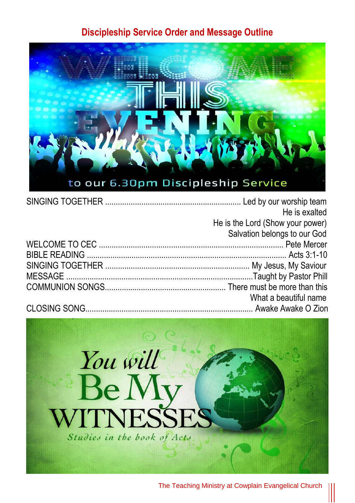## **Discipleship Service Order and Message Outline**



| He is exalted                    |
|----------------------------------|
| He is the Lord (Show your power) |
| Salvation belongs to our God     |
|                                  |
|                                  |
|                                  |
|                                  |
|                                  |
| What a beautiful name            |
|                                  |

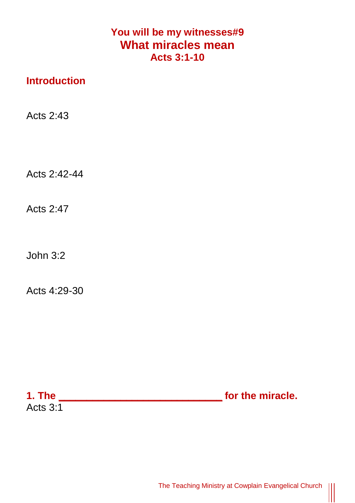## **You will be my witnesses#9 What miracles mean Acts 3:1-10**

## **Introduction**

Acts 2:43

Acts 2:42-44

Acts 2:47

John 3:2

Acts 4:29-30

| 1. The          | for the miracle. |
|-----------------|------------------|
| <b>Acts 3:1</b> |                  |

 $\begin{tabular}{|c|c|} \hline \quad \quad & \quad \quad & \quad \quad \\ \hline \quad \quad & \quad \quad & \quad \quad \\ \hline \quad \quad & \quad \quad & \quad \quad \\ \hline \end{tabular}$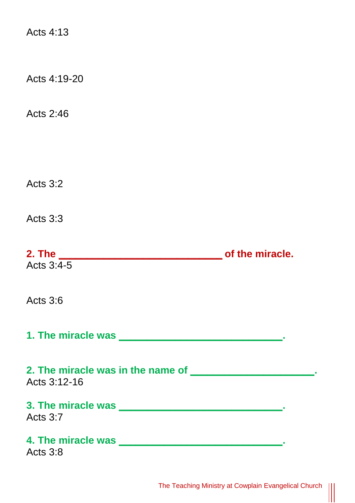Acts  $4.13$ Acts 4:19-20 Acts 2:46 Acts 3:2 Acts 3:3 **2. The \_\_\_\_\_\_\_\_\_\_\_\_\_\_\_\_\_\_\_\_\_\_\_\_\_\_\_\_\_ of the miracle.**  Acts  $3:4-5$ Acts 3:6 **1. The miracle was \_\_\_\_\_\_\_\_\_\_\_\_\_\_\_\_\_\_\_\_\_\_\_\_\_\_\_\_\_. 2. The miracle was in the name of \_\_\_\_\_\_\_\_\_\_\_\_\_\_\_\_\_\_\_\_\_\_.**  Acts 3:12-16 **3. The miracle was \_\_\_\_\_\_\_\_\_\_\_\_\_\_\_\_\_\_\_\_\_\_\_\_\_\_\_\_\_.**  Acts 3:7 **4. The miracle was \_\_\_\_\_\_\_\_\_\_\_\_\_\_\_\_\_\_\_\_\_\_\_\_\_\_\_\_\_.**  Acts 3:8